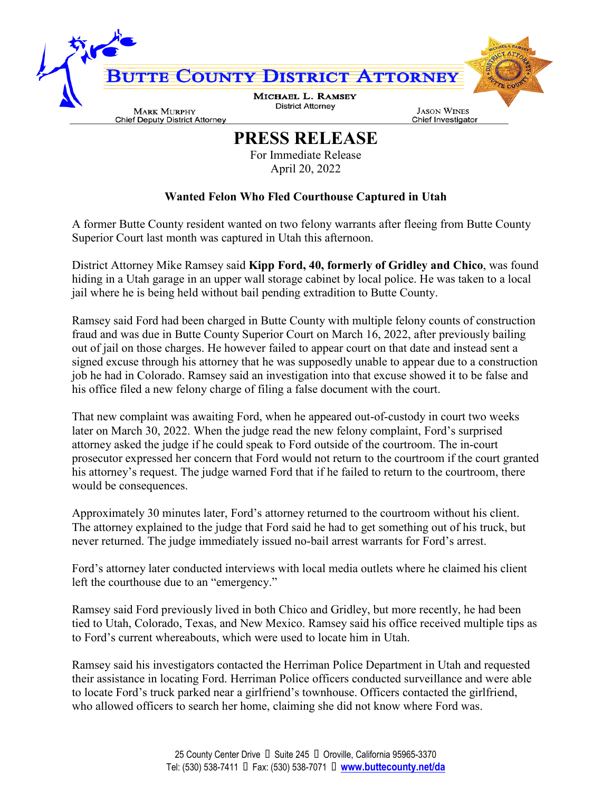

## **PRESS RELEASE**

For Immediate Release April 20, 2022

## **Wanted Felon Who Fled Courthouse Captured in Utah**

A former Butte County resident wanted on two felony warrants after fleeing from Butte County Superior Court last month was captured in Utah this afternoon.

District Attorney Mike Ramsey said **Kipp Ford, 40, formerly of Gridley and Chico**, was found hiding in a Utah garage in an upper wall storage cabinet by local police. He was taken to a local jail where he is being held without bail pending extradition to Butte County.

Ramsey said Ford had been charged in Butte County with multiple felony counts of construction fraud and was due in Butte County Superior Court on March 16, 2022, after previously bailing out of jail on those charges. He however failed to appear court on that date and instead sent a signed excuse through his attorney that he was supposedly unable to appear due to a construction job he had in Colorado. Ramsey said an investigation into that excuse showed it to be false and his office filed a new felony charge of filing a false document with the court.

That new complaint was awaiting Ford, when he appeared out-of-custody in court two weeks later on March 30, 2022. When the judge read the new felony complaint, Ford's surprised attorney asked the judge if he could speak to Ford outside of the courtroom. The in-court prosecutor expressed her concern that Ford would not return to the courtroom if the court granted his attorney's request. The judge warned Ford that if he failed to return to the courtroom, there would be consequences.

Approximately 30 minutes later, Ford's attorney returned to the courtroom without his client. The attorney explained to the judge that Ford said he had to get something out of his truck, but never returned. The judge immediately issued no-bail arrest warrants for Ford's arrest.

Ford's attorney later conducted interviews with local media outlets where he claimed his client left the courthouse due to an "emergency."

Ramsey said Ford previously lived in both Chico and Gridley, but more recently, he had been tied to Utah, Colorado, Texas, and New Mexico. Ramsey said his office received multiple tips as to Ford's current whereabouts, which were used to locate him in Utah.

Ramsey said his investigators contacted the Herriman Police Department in Utah and requested their assistance in locating Ford. Herriman Police officers conducted surveillance and were able to locate Ford's truck parked near a girlfriend's townhouse. Officers contacted the girlfriend, who allowed officers to search her home, claiming she did not know where Ford was.